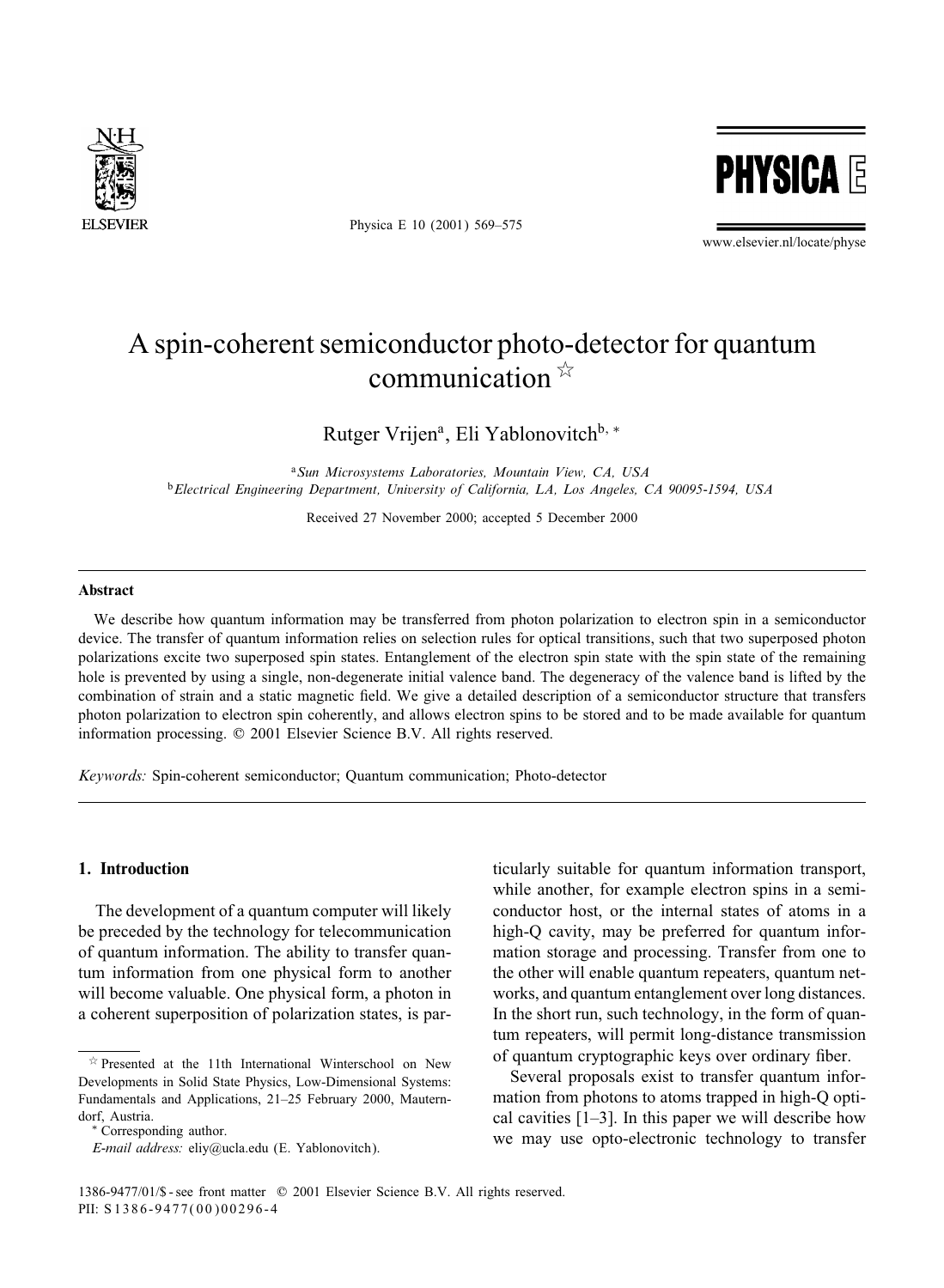

Physica E 10 (2001) 569–575



www.elsevier.nl/locate/physe

# A spin-coherent semiconductor photo-detector for quantum communication  $\overrightarrow{x}$

Rutger Vrijen<sup>a</sup>, Eli Yablonovitch<sup>b, ∗</sup>

<sup>a</sup>*Sun Microsystems Laboratories, Mountain View, CA, USA* <sup>b</sup>*Electrical Engineering Department, University of California, LA, Los Angeles, CA 90095-1594, USA*

Received 27 November 2000; accepted 5 December 2000

## Abstract

We describe how quantum information may be transferred from photon polarization to electron spin in a semiconductor device. The transfer of quantum information relies on selection rules for optical transitions, such that two superposed photon polarizations excite two superposed spin states. Entanglement of the electron spin state with the spin state of the remaining hole is prevented by using a single, non-degenerate initial valence band. The degeneracy of the valence band is lifted by the combination of strain and a static magnetic field. We give a detailed description of a semiconductor structure that transfers photon polarization to electron spin coherently, and allows electron spins to be stored and to be made available for quantum information processing.  $© 2001$  Elsevier Science B.V. All rights reserved.

*Keywords:* Spin-coherent semiconductor; Quantum communication; Photo-detector

# 1. Introduction

The development of a quantum computer will likely be preceded by the technology for telecommunication of quantum information. The ability to transfer quantum information from one physical form to another will become valuable. One physical form, a photon in a coherent superposition of polarization states, is par-

∗ Corresponding author.

ticularly suitable for quantum information transport, while another, for example electron spins in a semiconductor host, or the internal states of atoms in a high-Q cavity, may be preferred for quantum information storage and processing. Transfer from one to the other will enable quantum repeaters, quantum networks, and quantum entanglement over long distances. In the short run, such technology, in the formof quantum repeaters, will permit long-distance transmission of quantum cryptographic keys over ordinary fiber.

Several proposals exist to transfer quantum information from photons to atoms trapped in high-Q optical cavities [1–3]. In this paper we will describe how we may use opto-electronic technology to transfer

 $*$  Presented at the 11th International Winterschool on New Developments in Solid State Physics, Low-Dimensional Systems: Fundamentals and Applications, 21–25 February 2000, Mauterndorf, Austria.

*E-mail address:* eliy@ucla.edu (E. Yablonovitch).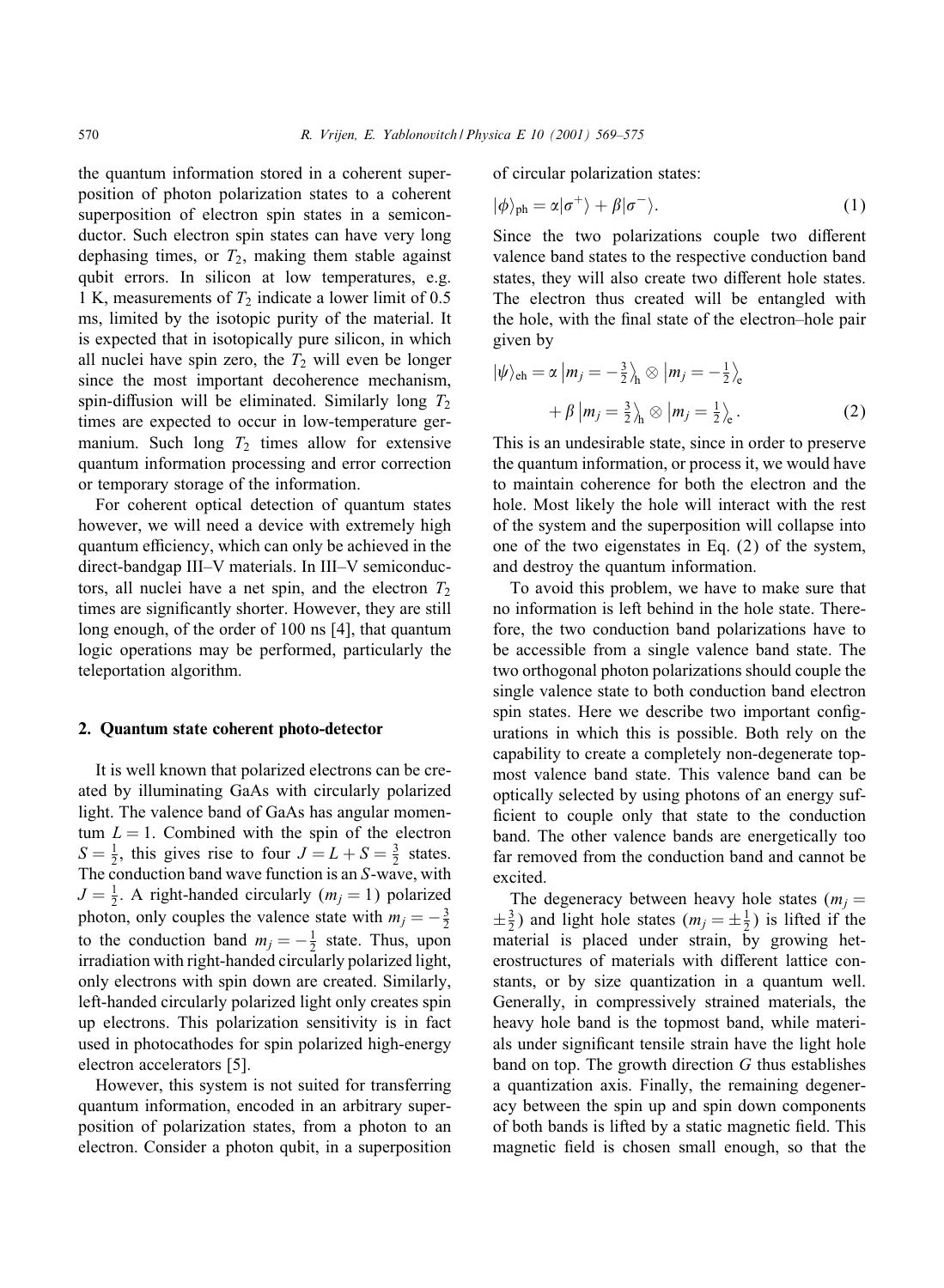the quantum information stored in a coherent superposition of photon polarization states to a coherent superposition of electron spin states in a semiconductor. Such electron spin states can have very long dephasing times, or  $T_2$ , making them stable against qubit errors. In silicon at low temperatures, e.g. 1 K, measurements of  $T_2$  indicate a lower limit of 0.5 ms, limited by the isotopic purity of the material. It is expected that in isotopically pure silicon, in which all nuclei have spin zero, the  $T_2$  will even be longer since the most important decoherence mechanism, spin-diffusion will be eliminated. Similarly long  $T_2$ times are expected to occur in low-temperature germanium. Such long  $T_2$  times allow for extensive quantum information processing and error correction or temporary storage of the information.

For coherent optical detection of quantum states however, we will need a device with extremely high quantum efficiency, which can only be achieved in the direct-bandgap III–V materials. In III–V semiconductors, all nuclei have a net spin, and the electron  $T_2$ times are significantly shorter. However, they are still long enough, of the order of 100 ns [4], that quantum logic operations may be performed, particularly the teleportation algorithm.

#### 2. Quantum state coherent photo-detector

It is well known that polarized electrons can be created by illuminating GaAs with circularly polarized light. The valence band of GaAs has angular momentum  $L = 1$ . Combined with the spin of the electron  $S = \frac{1}{2}$ , this gives rise to four  $J = L + S = \frac{3}{2}$  states. The conduction band wave function is an S-wave, with  $J = \frac{1}{2}$ . A right-handed circularly  $(m_j = 1)$  polarized photon, only couples the valence state with  $m_j = -\frac{3}{2}$ to the conduction band  $m_j = -\frac{1}{2}$  state. Thus, upon irradiation with right-handed circularly polarized light, only electrons with spin down are created. Similarly, left-handed circularly polarized light only creates spin up electrons. This polarization sensitivity is in fact used in photocathodes for spin polarized high-energy electron accelerators [5].

However, this system is not suited for transferring quantuminformation, encoded in an arbitrary superposition of polarization states, from a photon to an electron. Consider a photon qubit, in a superposition of circular polarization states:

$$
|\phi\rangle_{\text{ph}} = \alpha|\sigma^{+}\rangle + \beta|\sigma^{-}\rangle. \tag{1}
$$

Since the two polarizations couple two different valence band states to the respective conduction band states, they will also create two different hole states. The electron thus created will be entangled with the hole, with the final state of the electron–hole pair given by

$$
|\psi\rangle_{\text{eh}} = \alpha |m_j = -\frac{3}{2}\rangle_{\text{h}} \otimes |m_j = -\frac{1}{2}\rangle_{\text{e}}
$$

$$
+ \beta |m_j = \frac{3}{2}\rangle_{\text{h}} \otimes |m_j = \frac{1}{2}\rangle_{\text{e}}.
$$
 (2)

This is an undesirable state, since in order to preserve the quantuminformation, or process it, we would have to maintain coherence for both the electron and the hole. Most likely the hole will interact with the rest of the systemand the superposition will collapse into one of the two eigenstates in Eq. (2) of the system, and destroy the quantum information.

To avoid this problem, we have to make sure that no information is left behind in the hole state. Therefore, the two conduction band polarizations have to be accessible from a single valence band state. The two orthogonal photon polarizations should couple the single valence state to both conduction band electron spin states. Here we describe two important configurations in which this is possible. Both rely on the capability to create a completely non-degenerate topmost valence band state. This valence band can be optically selected by using photons of an energy sufficient to couple only that state to the conduction band. The other valence bands are energetically too far removed from the conduction band and cannot be excited.

The degeneracy between heavy hole states ( $m_i =$  $\pm \frac{3}{2}$ ) and light hole states  $(m_j = \pm \frac{1}{2})$  is lifted if the material is placed under strain, by growing heterostructures of materials with different lattice constants, or by size quantization in a quantum well. Generally, in compressively strained materials, the heavy hole band is the topmost band, while materials under significant tensile strain have the light hole band on top. The growth direction G thus establishes a quantization axis. Finally, the remaining degeneracy between the spin up and spin down components of both bands is lifted by a static magnetic field. This magnetic field is chosen small enough, so that the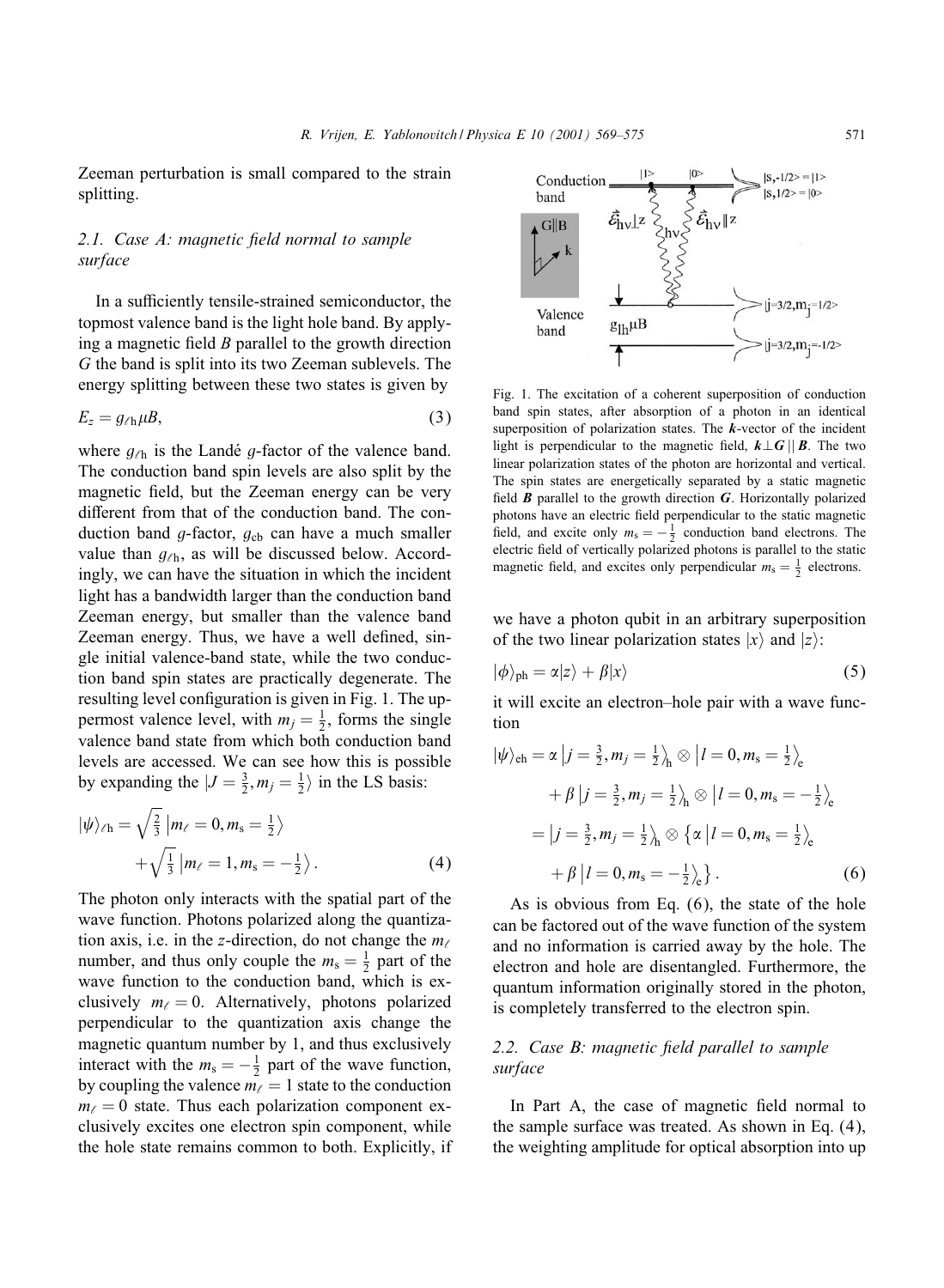Zeeman perturbation is small compared to the strain splitting.

# 2.1. Case A: magnetic field normal to sample *surface*

In a sufficiently tensile-strained semiconductor, the topmost valence band is the light hole band. By applying a magnetic field  $B$  parallel to the growth direction G the band is split into its two Zeeman sublevels. The energy splitting between these two states is given by

$$
E_z = g_{\ell \mathrm{h}} \mu B, \tag{3}
$$

where  $g_{\ell h}$  is the Landé g-factor of the valence band. The conduction band spin levels are also split by the magnetic field, but the Zeeman energy can be very different from that of the conduction band. The conduction band  $g$ -factor,  $g_{cb}$  can have a much smaller value than  $g_{\ell h}$ , as will be discussed below. Accordingly, we can have the situation in which the incident light has a bandwidth larger than the conduction band Zeeman energy, but smaller than the valence band Zeeman energy. Thus, we have a well defined, single initial valence-band state, while the two conduction band spin states are practically degenerate. The resulting level configuration is given in Fig. 1. The uppermost valence level, with  $m_j = \frac{1}{2}$ , forms the single valence band state fromwhich both conduction band levels are accessed. We can see how this is possible by expanding the  $|J = \frac{3}{2}, m_j = \frac{1}{2} \rangle$  in the LS basis:

$$
|\psi\rangle_{\ell h} = \sqrt{\frac{2}{3}} |m_{\ell} = 0, m_s = \frac{1}{2}\rangle
$$
  
 
$$
+\sqrt{\frac{1}{3}} |m_{\ell} = 1, m_s = -\frac{1}{2}\rangle.
$$
 (4)

The photon only interacts with the spatial part of the wave function. Photons polarized along the quantization axis, i.e. in the z-direction, do not change the  $m_\ell$ number, and thus only couple the  $m_s = \frac{1}{2}$  part of the wave function to the conduction band, which is exclusively  $m_{\ell} = 0$ . Alternatively, photons polarized perpendicular to the quantization axis change the magnetic quantum number by 1, and thus exclusively interact with the  $m_s = -\frac{1}{2}$  part of the wave function, by coupling the valence  $m_\ell = 1$  state to the conduction  $m_{\ell} = 0$  state. Thus each polarization component exclusively excites one electron spin component, while the hole state remains common to both. Explicitly, if



Fig. 1. The excitation of a coherent superposition of conduction band spin states, after absorption of a photon in an identical superposition of polarization states. The *k*-vector of the incident light is perpendicular to the magnetic field,  $k\perp G \parallel B$ . The two linear polarization states of the photon are horizontal and vertical. The spin states are energetically separated by a static magnetic field  $\boldsymbol{B}$  parallel to the growth direction  $\boldsymbol{G}$ . Horizontally polarized photons have an electric field perpendicular to the static magnetic field, and excite only  $m_s = -\frac{1}{2}$  conduction band electrons. The electric field of vertically polarized photons is parallel to the static magnetic field, and excites only perpendicular  $m_s = \frac{1}{2}$  electrons.

we have a photon qubit in an arbitrary superposition of the two linear polarization states  $|x\rangle$  and  $|z\rangle$ :

$$
|\phi\rangle_{\text{ph}} = \alpha|z\rangle + \beta|x\rangle \tag{5}
$$

it will excite an electron–hole pair with a wave function

$$
|\psi\rangle_{\text{eh}} = \alpha |j = \frac{3}{2}, m_j = \frac{1}{2} \rangle_{\text{h}} \otimes |l = 0, m_{\text{s}} = \frac{1}{2} \rangle_{\text{e}}
$$
  
+  $\beta |j = \frac{3}{2}, m_j = \frac{1}{2} \rangle_{\text{h}} \otimes |l = 0, m_{\text{s}} = -\frac{1}{2} \rangle_{\text{e}}$   
=  $|j = \frac{3}{2}, m_j = \frac{1}{2} \rangle_{\text{h}} \otimes {\alpha |l = 0, m_{\text{s}} = \frac{1}{2} \rangle_{\text{e}}$   
+  $\beta |l = 0, m_{\text{s}} = -\frac{1}{2} \rangle_{\text{e}}}$  (6)

As is obvious from Eq.  $(6)$ , the state of the hole can be factored out of the wave function of the system and no information is carried away by the hole. The electron and hole are disentangled. Furthermore, the quantuminformation originally stored in the photon, is completely transferred to the electron spin.

# 2.2. Case B: magnetic field parallel to sample *surface*

In Part A, the case of magnetic field normal to the sample surface was treated. As shown in Eq. (4), the weighting amplitude for optical absorption into up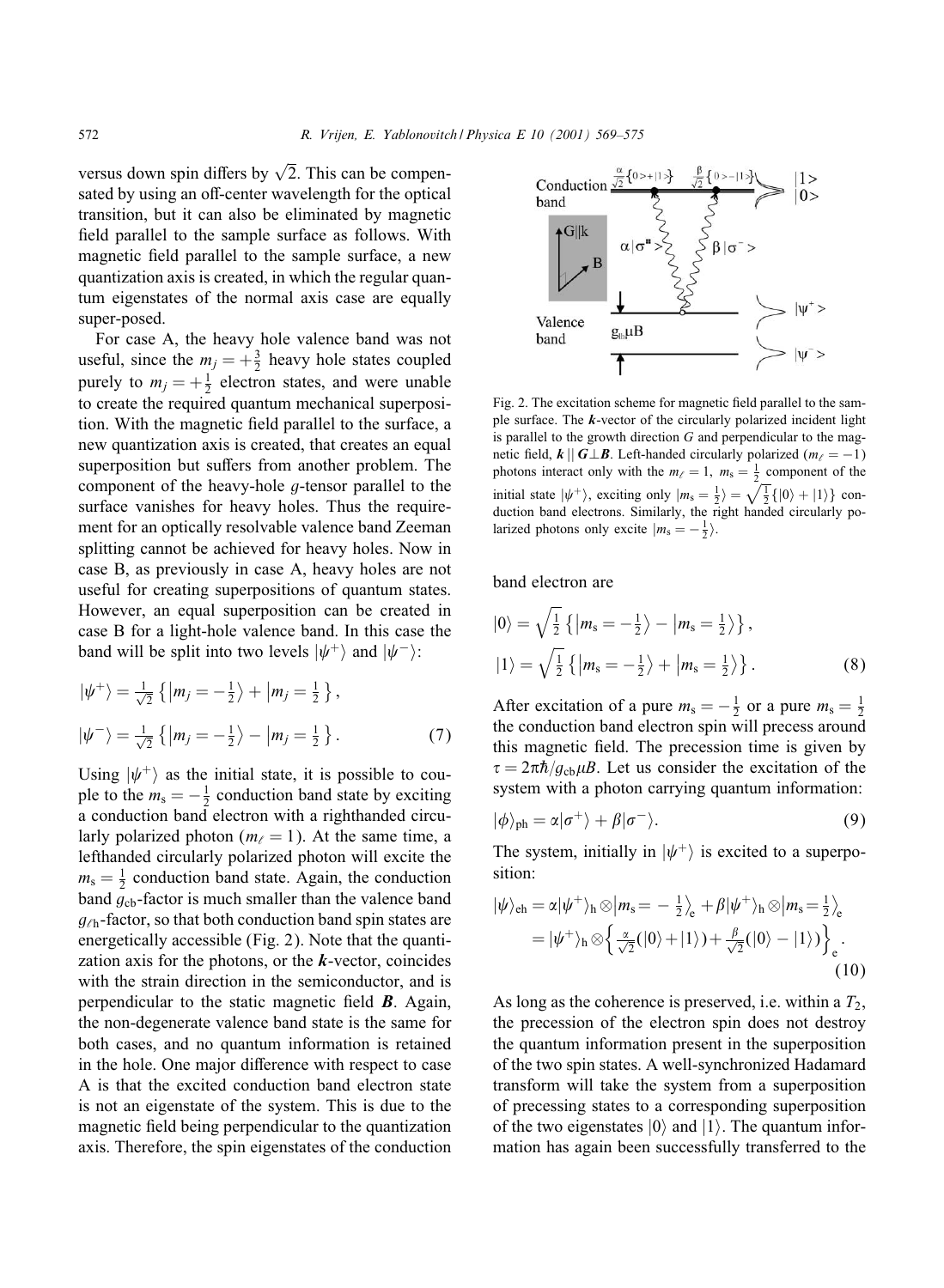versus down spin differs by  $\sqrt{2}$ . This can be compensated by using an off-center wavelength for the optical transition, but it can also be eliminated by magnetic field parallel to the sample surface as follows. With magnetic field parallel to the sample surface, a new quantization axis is created, in which the regular quantum eigenstates of the normal axis case are equally super-posed.

For case A, the heavy hole valence band was not useful, since the  $m_j = +\frac{3}{2}$  heavy hole states coupled purely to  $m_j = +\frac{1}{2}$  electron states, and were unable to create the required quantum mechanical superposition. With the magnetic field parallel to the surface, a new quantization axis is created, that creates an equal superposition but suffers from another problem. The component of the heavy-hole g-tensor parallel to the surface vanishes for heavy holes. Thus the requirement for an optically resolvable valence band Zeeman splitting cannot be achieved for heavy holes. Now in case B, as previously in case A, heavy holes are not useful for creating superpositions of quantum states. However, an equal superposition can be created in case B for a light-hole valence band. In this case the band will be split into two levels  $|\psi^+\rangle$  and  $|\psi^-\rangle$ :

$$
\begin{aligned} \left|\psi^{+}\right\rangle &= \frac{1}{\sqrt{2}} \left\{ \left|m_{j} = -\frac{1}{2}\right\rangle + \left|m_{j} = \frac{1}{2}\right\rangle \right\}, \\ \left|\psi^{-}\right\rangle &= \frac{1}{\sqrt{2}} \left\{ \left|m_{j} = -\frac{1}{2}\right\rangle - \left|m_{j} = \frac{1}{2}\right\rangle \right\}. \end{aligned} \tag{7}
$$

Using  $|\psi^+\rangle$  as the initial state, it is possible to couple to the  $m_s = -\frac{1}{2}$  conduction band state by exciting a conduction band electron with a righthanded circularly polarized photon ( $m_\ell = 1$ ). At the same time, a lefthanded circularly polarized photon will excite the  $m_s = \frac{1}{2}$  conduction band state. Again, the conduction band  $g_{cb}$ -factor is much smaller than the valence band  $g_{\ell h}$ -factor, so that both conduction band spin states are energetically accessible (Fig. 2). Note that the quantization axis for the photons, or the *k*-vector, coincides with the strain direction in the semiconductor, and is perpendicular to the static magnetic field  $\boldsymbol{B}$ . Again, the non-degenerate valence band state is the same for both cases, and no quantum information is retained in the hole. One major difference with respect to case A is that the excited conduction band electron state is not an eigenstate of the system. This is due to the magnetic field being perpendicular to the quantization axis. Therefore, the spin eigenstates of the conduction



Fig. 2. The excitation scheme for magnetic field parallel to the sample surface. The *k*-vector of the circularly polarized incident light is parallel to the growth direction  $G$  and perpendicular to the magnetic field,  $k \mid | G \perp B|$ . Left-handed circularly polarized ( $m_\ell = -1$ ) photons interact only with the  $m_{\ell} = 1$ ,  $m_s = \frac{1}{2}$  component of the initial state  $|\psi^+\rangle$ , exciting only  $|m_s = \frac{1}{2}\rangle = \sqrt{\frac{1}{2}}\{|0\rangle + |1\rangle\}$  conduction band electrons. Similarly, the right handed circularly polarized photons only excite  $|m_s = -\frac{1}{2}\rangle$ .

band electron are

$$
|0\rangle = \sqrt{\frac{1}{2}} \left\{ |m_s = -\frac{1}{2}\rangle - |m_s = \frac{1}{2}\rangle \right\},
$$
  

$$
|1\rangle = \sqrt{\frac{1}{2}} \left\{ |m_s = -\frac{1}{2}\rangle + |m_s = \frac{1}{2}\rangle \right\}.
$$
 (8)

After excitation of a pure  $m_s = -\frac{1}{2}$  or a pure  $m_s = \frac{1}{2}$ the conduction band electron spin will precess around this magnetic field. The precession time is given by  $\tau = 2\pi\hbar / q_{\rm ch}\mu B$ . Let us consider the excitation of the system with a photon carrying quantum information:

$$
|\phi\rangle_{\text{ph}} = \alpha|\sigma^{+}\rangle + \beta|\sigma^{-}\rangle. \tag{9}
$$

The system, initially in  $|\psi^+\rangle$  is excited to a superposition:

$$
|\psi\rangle_{\text{eh}} = \alpha |\psi^{+}\rangle_{\text{h}} \otimes |m_{\text{s}} = -\frac{1}{2}\rangle_{\text{e}} + \beta |\psi^{+}\rangle_{\text{h}} \otimes |m_{\text{s}} = \frac{1}{2}\rangle_{\text{e}}
$$

$$
= |\psi^{+}\rangle_{\text{h}} \otimes \left\{\frac{\alpha}{\sqrt{2}}(|0\rangle + |1\rangle) + \frac{\beta}{\sqrt{2}}(|0\rangle - |1\rangle)\right\}_{\text{e}}.
$$
(10)

As long as the coherence is preserved, i.e. within a  $T_2$ , the precession of the electron spin does not destroy the quantum information present in the superposition of the two spin states. A well-synchronized Hadamard transform will take the system from a superposition of precessing states to a corresponding superposition of the two eigenstates  $|0\rangle$  and  $|1\rangle$ . The quantum information has again been successfully transferred to the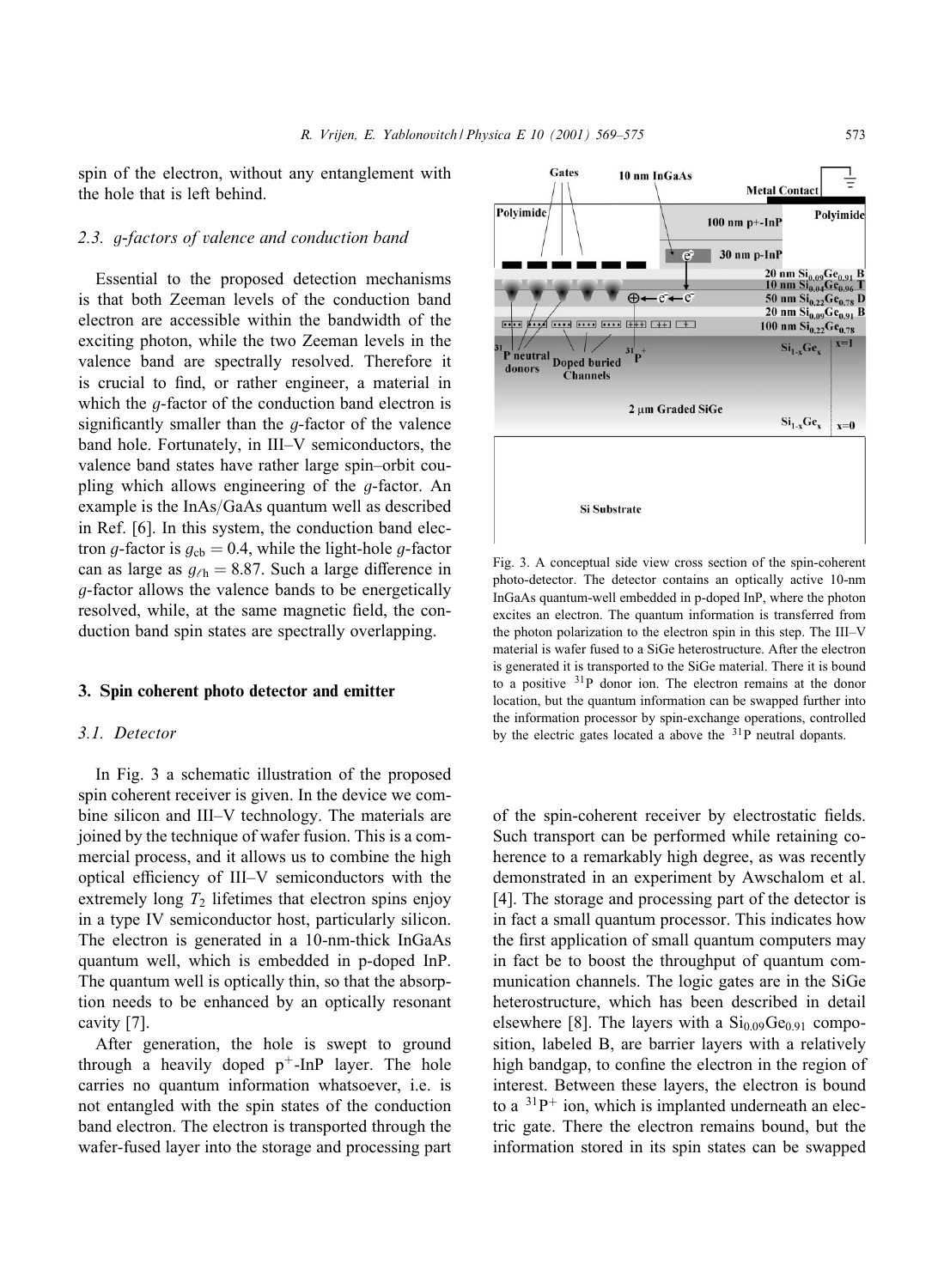spin of the electron, without any entanglement with the hole that is left behind.

## *2.3.* g*-factors of valence and conduction band*

Essential to the proposed detection mechanisms is that both Zeeman levels of the conduction band electron are accessible within the bandwidth of the exciting photon, while the two Zeeman levels in the valence band are spectrally resolved. Therefore it is crucial to find, or rather engineer, a material in which the  $q$ -factor of the conduction band electron is significantly smaller than the  $g$ -factor of the valence band hole. Fortunately, in III–V semiconductors, the valence band states have rather large spin–orbit coupling which allows engineering of the g-factor. An example is the  $InAs/GaAs$  quantum well as described in Ref. [6]. In this system, the conduction band electron g-factor is  $g_{cb} = 0.4$ , while the light-hole g-factor can as large as  $q_{\ell h} = 8.87$ . Such a large difference in g-factor allows the valence bands to be energetically resolved, while, at the same magnetic field, the conduction band spin states are spectrally overlapping.

#### 3. Spin coherent photo detector and emitter

## *3.1. Detector*

In Fig. 3 a schematic illustration of the proposed spin coherent receiver is given. In the device we combine silicon and III–V technology. The materials are joined by the technique of wafer fusion. This is a commercial process, and it allows us to combine the high optical efficiency of III-V semiconductors with the extremely long  $T_2$  lifetimes that electron spins enjoy in a type IV semiconductor host, particularly silicon. The electron is generated in a 10-nm-thick InGaAs quantum well, which is embedded in p-doped InP. The quantum well is optically thin, so that the absorption needs to be enhanced by an optically resonant cavity [7].

After generation, the hole is swept to ground through a heavily doped  $p^+$ -InP layer. The hole carries no quantum information whatsoever, i.e. is not entangled with the spin states of the conduction band electron. The electron is transported through the wafer-fused layer into the storage and processing part



Fig. 3. A conceptual side view cross section of the spin-coherent photo-detector. The detector contains an optically active 10-nm InGaAs quantum-well embedded in p-doped InP, where the photon excites an electron. The quantum information is transferred from the photon polarization to the electron spin in this step. The III–V material is wafer fused to a SiGe heterostructure. After the electron is generated it is transported to the SiGe material. There it is bound to a positive <sup>31</sup>P donor ion. The electron remains at the donor location, but the quantum information can be swapped further into the information processor by spin-exchange operations, controlled by the electric gates located a above the 31P neutral dopants.

of the spin-coherent receiver by electrostatic fields. Such transport can be performed while retaining coherence to a remarkably high degree, as was recently demonstrated in an experiment by Awschalom et al. [4]. The storage and processing part of the detector is in fact a small quantum processor. This indicates how the first application of small quantum computers may in fact be to boost the throughput of quantum communication channels. The logic gates are in the SiGe heterostructure, which has been described in detail elsewhere [8]. The layers with a  $Si<sub>0.09</sub>Ge<sub>0.91</sub>$  composition, labeled B, are barrier layers with a relatively high bandgap, to confine the electron in the region of interest. Between these layers, the electron is bound to a  $31P^+$  ion, which is implanted underneath an electric gate. There the electron remains bound, but the information stored in its spin states can be swapped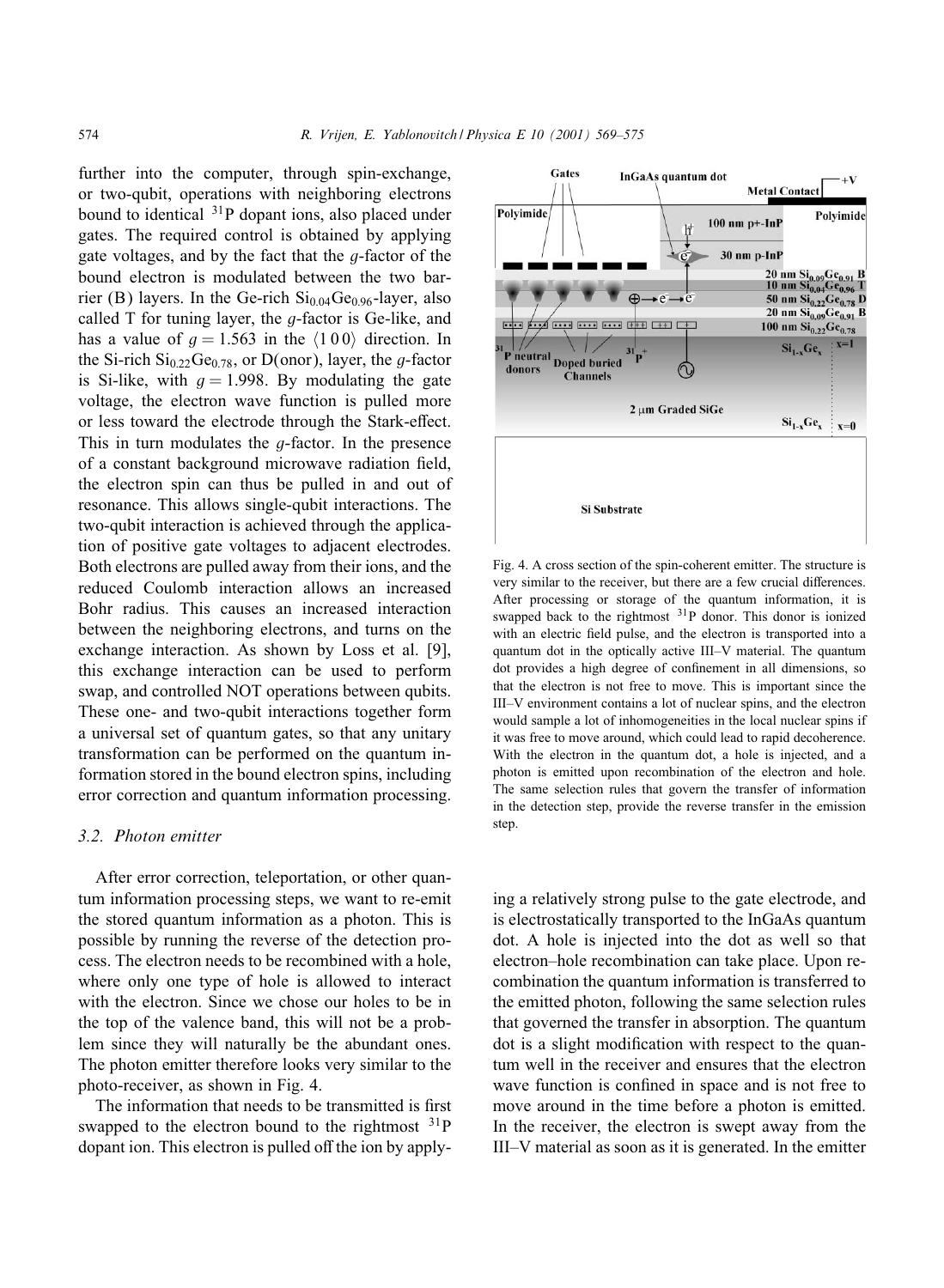further into the computer, through spin-exchange, or two-qubit, operations with neighboring electrons bound to identical <sup>31</sup>P dopant ions, also placed under gates. The required control is obtained by applying gate voltages, and by the fact that the  $q$ -factor of the bound electron is modulated between the two barrier (B) layers. In the Ge-rich  $Si<sub>0.04</sub>Ge<sub>0.96</sub>$ -layer, also called  $T$  for tuning layer, the  $q$ -factor is Ge-like, and has a value of  $q = 1.563$  in the  $\langle 100 \rangle$  direction. In the Si-rich  $Si_{0.22}Ge_{0.78}$ , or D(onor), layer, the *g*-factor is Si-like, with  $q = 1.998$ . By modulating the gate voltage, the electron wave function is pulled more or less toward the electrode through the Stark-effect. This in turn modulates the  $q$ -factor. In the presence of a constant background microwave radiation field, the electron spin can thus be pulled in and out of resonance. This allows single-qubit interactions. The two-qubit interaction is achieved through the application of positive gate voltages to adjacent electrodes. Both electrons are pulled away from their ions, and the reduced Coulomb interaction allows an increased Bohr radius. This causes an increased interaction between the neighboring electrons, and turns on the exchange interaction. As shown by Loss et al. [9], this exchange interaction can be used to perform swap, and controlled NOT operations between qubits. These one- and two-qubit interactions together form a universal set of quantum gates, so that any unitary transformation can be performed on the quantum information stored in the bound electron spins, including error correction and quantum information processing.

## *3.2. Photon emitter*

After error correction, teleportation, or other quantum information processing steps, we want to re-emit the stored quantum information as a photon. This is possible by running the reverse of the detection process. The electron needs to be recombined with a hole, where only one type of hole is allowed to interact with the electron. Since we chose our holes to be in the top of the valence band, this will not be a problem since they will naturally be the abundant ones. The photon emitter therefore looks very similar to the photo-receiver, as shown in Fig. 4.

The information that needs to be transmitted is first swapped to the electron bound to the rightmost  $31P$ dopant ion. This electron is pulled off the ion by apply-



Fig. 4. A cross section of the spin-coherent emitter. The structure is very similar to the receiver, but there are a few crucial differences. After processing or storage of the quantum information, it is swapped back to the rightmost <sup>31</sup>P donor. This donor is ionized with an electric field pulse, and the electron is transported into a quantum dot in the optically active III–V material. The quantum dot provides a high degree of confinement in all dimensions, so that the electron is not free to move. This is important since the III–V environment contains a lot of nuclear spins, and the electron would sample a lot of inhomogeneities in the local nuclear spins if it was free to move around, which could lead to rapid decoherence. With the electron in the quantum dot, a hole is injected, and a photon is emitted upon recombination of the electron and hole. The same selection rules that govern the transfer of information in the detection step, provide the reverse transfer in the emission step.

ing a relatively strong pulse to the gate electrode, and is electrostatically transported to the InGaAs quantum dot. A hole is injected into the dot as well so that electron–hole recombination can take place. Upon recombination the quantum information is transferred to the emitted photon, following the same selection rules that governed the transfer in absorption. The quantum dot is a slight modification with respect to the quantumwell in the receiver and ensures that the electron wave function is confined in space and is not free to move around in the time before a photon is emitted. In the receiver, the electron is swept away from the III–V material as soon as it is generated. In the emitter